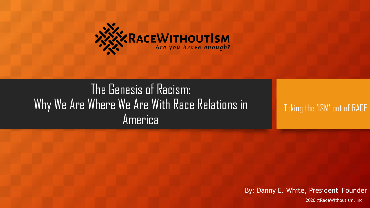

### The Genesis of Racism: Why We Are Where We Are With Race Relations in America

Taking the 'ISM' out of RACE

By: Danny E. White, President | Founder

2020 ©RaceWithoutIsm, Inc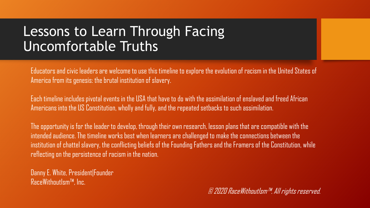### Lessons to Learn Through Facing Uncomfortable Truths

Educators and civic leaders are welcome to use this timeline to explore the evolution of racism in the United States of America from its genesis: the brutal institution of slavery.

Each timeline includes pivotal events in the USA that have to do with the assimilation of enslaved and freed African Americans into the US Constitution, wholly and fully, and the repeated setbacks to such assimilation.

The opportunity is for the leader to develop, through their own research, lesson plans that are compatible with the intended audience. The timeline works best when learners are challenged to make the connections between the institution of chattel slavery, the conflicting beliefs of the Founding Fathers and the Framers of the Constitution, while reflecting on the persistence of racism in the nation.

Danny E. White, President|Founder RaceWithoutIsm™, Inc.

© 2020 RaceWithoutIsm™. All rights reserved.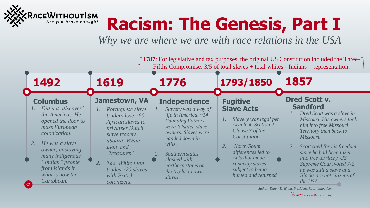

## **Racism: The Genesis, Part I**

*Why we are where we are with race relations in the USA*



*3. Author: Danny E. White, President, RaceWithoutIsm,*

*© 2020 RaceWithoutIsm, Inc*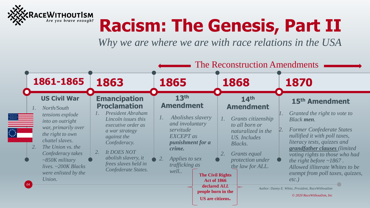

## **Racism: The Genesis, Part II**

*Why we are where we are with race relations in the USA*

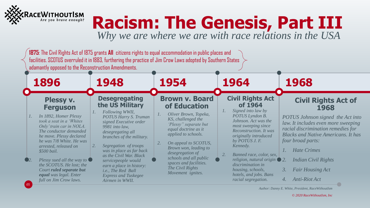

# **Racism: The Genesis, Part III**

*Why we are where we are with race relations in the USA*



*Author: Danny E. White, President, RaceWithoutIsm*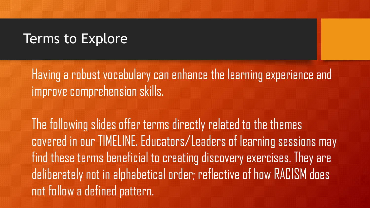#### Terms to Explore

Having a robust vocabulary can enhance the learning experience and improve comprehension skills.

The following slides offer terms directly related to the themes covered in our TIMELINE. Educators/Leaders of learning sessions may find these terms beneficial to creating discovery exercises. They are deliberately not in alphabetical order; reflective of how RACISM does not follow a defined pattern.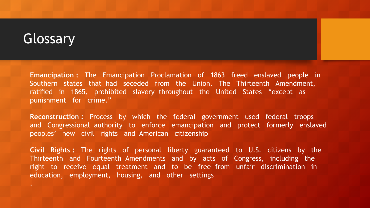### Glossary

**Emancipation :** The Emancipation Proclamation of 1863 freed enslaved people in Southern states that had seceded from the Union. The Thirteenth Amendment, ratified in 1865, prohibited slavery throughout the United States "except as punishment for crime."

**Reconstruction :** Process by which the federal government used federal troops and Congressional authority to enforce emancipation and protect formerly enslaved peoples' new civil rights and American citizenship

**Civil Rights :** The rights of personal liberty guaranteed to U.S. citizens by the Thirteenth and Fourteenth Amendments and by acts of Congress, including the right to receive equal treatment and to be free from unfair discrimination in education, employment, housing, and other settings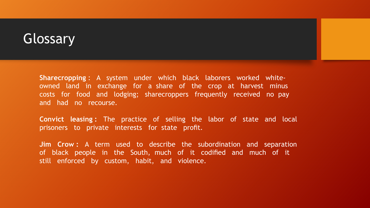#### Glossary

**Sharecropping** : A system under which black laborers worked whiteowned land in exchange for a share of the crop at harvest minus costs for food and lodging; sharecroppers frequently received no pay and had no recourse.

**Convict leasing :** The practice of selling the labor of state and local prisoners to private interests for state profit.

**Jim Crow :** A term used to describe the subordination and separation of black people in the South, much of it codified and much of it still enforced by custom, habit, and violence.